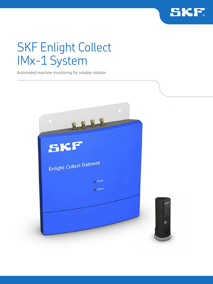

# SKF Enlight Collect IMx-1 System

Automated machine monitoring for reliable rotation

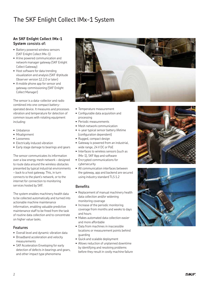## The SKF Enlight Collect IMx-1 System

## **An SKF Enlight Collect IMx-1 System consists of:**

- Battery powered wireless sensors (SKF Enlight Collect IMx-1)
- A line powered communication and network manager gateway (SKF Enlight Collect Gateway)
- Host software for data trending visualization and analysis (SKF @ptitude Observer version 12.2.0 or later)
- A mobile phone app for sensor and gateway commissioning (SKF Enlight Collect Manager)

The sensor is a data-collector and radio combined into one compact batteryoperated device. It measures and processes vibration and temperature for detection of common issues with rotating equipment including:

- Unbalance
- Misalignment
- Looseness
- Electrically induced vibration
- Early stage damage to bearings and gears

The sensor communicates its information over a low energy mesh network – designed to route data around the wireless obstacles presented by typical industrial environments – back to a host gateway. This, in turn connects to the plant's network, or to the internet for connection to monitoring services hosted by SKF.

The system enables machinery health data to be collected automatically and turned into actionable machine maintenance information, enabling valuable predictive maintenance staff to be freed from the task of routine data collection and to concentrate on higher value tasks.

### **Features**

- Overall level and dynamic vibration data
- Broadband acceleration and velocity measurements
- SKF Acceleration Enveloping for early detection of defects in bearings and gears, and other impact type phenomena



- Temperature measurement
- Configurable data acquisition and processing
- Periodic measurements
- Mesh network communication
- 4-year typical sensor battery lifetime (configuration dependent)
- Rugged, compact design
- Gateway is powered from an industrial, wide range, 24 V DC or PoE
- Interfaces to wireless sensors (such as IMx-1), SKF App and software
- Encrypted communications for cybersecurity
- All communication interfaces between the gateway, app and backend are secured using industry standard TLS 1.2

### **Benefits**

- Replacement of manual machinery health data collection and/or widening monitoring coverage
- Increase of the periodic monitoring coverage from months and weeks to days and hours
- Makes automated data collection easier and more affordable
- Data from machines in inaccessible locations or measurement points behind guarding
- Quick and scalable deployment
- Allows reduction of unplanned downtime by identifying and resolving problems before they result in costly machine failure



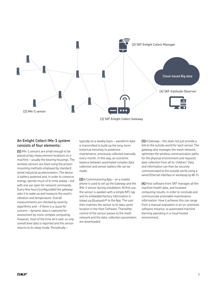

## **An Enlight Collect IMx-1 system consists of four elements:**

**(1)** IMx-1 sensors are small enough to be placed at key measurement locations on a machine – usually the bearing housings. The wireless sensors are fixed using the proven mounting methods employed by standard wired industrial accelerometers. The device is battery powered and, in order to conserve energy, spends much of its time asleep – but with one ear open for network commands. Every few hours (configurable) the gateway asks it to wake up and measure the asset's vibration and temperature. Overall measurements are checked by severity algorithms and – if there is a cause for concern – dynamic data is captured for assessment by more complex computing. However, most of the time all is well, so only overall level data is reported and the sensor returns to its sleep mode. Periodically –

typically on a weekly basis – waveform data is transmitted to build up the long-term historical trend key to predictive maintenance, previously collected manually every month. In this way, an economic balance between automated complex data collection and sensor battery life can be made.

**(2)** A Commissioning App – on a mobile phone is used to set up the Gateway and the IMx-1 sensor during installation. At first use, the sensor is awoken with a simple NFC tap and its embedded factory information is linked via Bluetooth® to the App. The user then matches the sensor to its data-point location in the Host Software. Thereafter, control of the sensor passes to the mesh network and the data-collection parameters are downloaded.

**(3)** A Gateway – this does not just provide a link to the outside world for each sensor. The gateway also manages the mesh network, optimizes the wireless communication paths for the physical environment and requests data collection from all its 'children'. Data and information can then be securely communicated to the outside world using a wired Ethernet interface or wirelessly by Wi-Fi.

**(4)** Host software from SKF manages all the machine health data, and localized computing results, in order to conclude and communicate actionable maintenance information. How it achieves this can range from a manual evaluation in an on-premises software instance, to automated machine learning operating in a cloud hosted environment.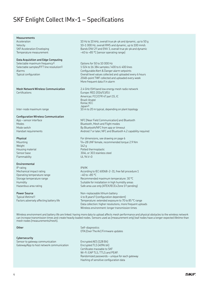## SKF Enlight Collect IMx-1 – Specifications

#### **Measurements**

### **Data Acquisition and Edge Computing**

Selectable maximum frequency<sup>1</sup> 0btions for 50 to 10 000 Hz

## Certifications Europe: RED 2014/53/EU

#### **Configuration Wireless Communication**

Weight 142 g Flammability UL 94 V–0

#### **Environmental**

IP rating IP69K Operating temperature range  $-40$  to +85 °C

# **Power Source** Non-replaceable lithium battery

Acceleration 10 Hz to 10 kHz, overall true pk-pk and dynamic, up to 50 g Velocity 10–1 000 Hz, overall RMS and dynamic, up to 100 mm/s Bands ENV 21) and ENV 3, overall true pk-pk and dynamic Temperature measurement –40 to +85 °C (sensor operating range)

Selectable samples/FFT line resolution<sup>1)</sup> 1 024 to 16 384 samples / 400 to 6 400 lines Alarms Configurable Alert & Danger alarm setpoints Typical configuration **Collection** Overall level values collected and uploaded every 6 hours 2048–point TWF collected and uploaded every week More frequent data if in alarm

**Mesh Network Wireless Communication** 2.4 GHz ISM band low energy mesh radio network Americas: FCC/CFR 47 part 15, IC Brazil: Anatel Korea: KCC Japan2) Inter-node maximum range 10 m to 20 m typical, depending on plant topology

App – sensor interface NFC (Near Field Communication) and Bluetooth Modes Bluetooth, Mesh and Flight modes Mode switch By Bluetooth/NFC from app or timeout Handset requirements **Android 7 or later, NFC and Bluetooth 4.2 capability required** 

**Physical For dimensions**, see drawing on page 6 Mounting 1/4–28 UNF female, recommended torque 2.9 Nm Housing material **Posted thermoplastic** Sensor base 304L or 303 stainless steel

Mechanical impact rating Mechanical impact rating According to IEC 60068-2-31, free fall procedure 1 Storage temperature range  $\sim$  Recommended maximum temperature: 30 °C Humidity Suitable for installation in high humidity areas Hazardous area rating Safe area use only (ATEX/IECEx Zone 12) pending)

Typical lifetime1) 4 to 8 years1) (configuration dependent) Factors adversely affecting battery life Temperature: extended exposure to 70 to 85 °C range Data collection: higher resolutions, more frequent uploads Wireless environment: longer transmission times

Wireless environment and battery life are linked: having more data to upload affects mesh performance and physical obstacles to the wireless network can increase transmission times and create heavily loaded nodes. Sensors used as (measurement only) leaf nodes have a longer expected lifetime than mesh nodes (measurements/mesh).

#### **Cybersecurity**

Sensor to gateway communication Encrypted AES (128 Bit) Gateway/App to host network communication Encrypted TLS (4096 bit)

**Other** Self-diagnostics OTA (Over The Air) Firmware updates

> Certificates traceable to SKF Wi-Fi: EAP TLS, TTLS and PEAP. Randomized passwords – unique for each gateway Hashing of sensitive configuration data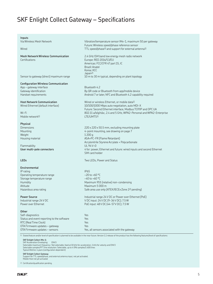## SKF Enlight Collect Gateway – Specifications

**Inputs**

Certifications Europe: RED 2014/53/EU

Sensor to gateway (direct) maximum range 10 m to 30 m typical, depending on plant topology

### **Configuration Wireless Communication**

App – gateway interface Bluetooth 4.2

Mobile network<sup>1)</sup> Mobile network<sup>2</sup> and the contract of the contract of the LTE/UMTS<sup>1</sup>

#### **Physical**

Weight 1 200 g

Flammability UL 94 V–0

#### **Environmental**

IP rating IP65 Operating temperature range –20 to +60 °C Storage temperature range  $-40$  to +60 °C Altitude Maximum 5 000 m

#### **Other**

| Self-diagnostics                           | Yes.                                         |
|--------------------------------------------|----------------------------------------------|
| Status and event reporting to the software | Yes                                          |
| RTC (Real Time Clock)                      | Yes.                                         |
| OTA Firmware updates - gateway             | Yes.                                         |
| OTA Firmware updates - sensors             | Yes, all sensors associated with the gateway |

1) Stated feature and/or level of specification is planned to be available in the near future. Version 1.1 release of the product has the following features/level of specifications:

**SKF Enlight Collect IMx-1:**

SKF Acceleration Enveloping: ENV3 Selectable maximum frequency: Not selectable, fixed at 10 kHz for acceleration, 1 kHz for velocity and ENV3 Selectable samples/FFT line resolution: Selectable, up to 4 096 samples/1 600 lines Typical lifetime: 4 years (configuration dependent)

**SKF Enlight Collect Gateway**<br>Support for TTL speed/phase, and external antenna input, not yet activated.<br>Mobile Host not yet activated

2) Certification/qualification pending.

Via Wireless Mesh Network Vibration/temperature sensor IMx-1, maximum 50 per gateway Future: Wireless speed/phase reference sensor Wired TTL speed/phase1) and support for external antenna1)

**Mesh Network Wireless Communication** 2.4 GHz ISM band low energy mesh radio network Americas: FCC/CFR 47 part 15, IC Brazil: Anatel Korea: KCC Japan2)

Gateway identification **By QR** code or Bluetooth from app/mobile device Handset requirements **Android 7 or later, NFC and Bluetooth 4.2 capability required** 

**Host Network Communication** Wired or wireless Ethernet, or mobile data<sup>1)</sup> Wired Ethernet (default interface) 10/100/1000 Mbps auto negotiation, auto MDI-X Future: Second Ethernet interface, Modbus TCP/IP and OPC UA Wi-Fi 802.11 a/b/g/n/ac, 2.4 and 5 GHz, WPA2-Personal and WPA2-Enterprise

Dimensions 220 x 220 x 50.5 mm, excluding mounting plate Mounting 4-point mounting, see drawing on page 7 Housing material ASA+PC-FR (Flame Retardant) Acrylonitrile Styrene Acrylate + Polycarbonate **User multi-pole connectors** 4 for: power, Ethernet and future: wired inputs and second Ethernet SIM card holder

**LEDs** Two LEDs, Power and Status

Humidity Maximum 95% (relative) non-condensing Hazardous area rating Safe area use only (ATEX/IECEx Zone 22) pending)

**Power Source Industrial range 24 V DC or Power over Ethernet (PoE)** Industrial range 24 V DC V DC V DC input: 24 V DC (9-36 V DC); 7.5 W Power over Ethernet Poetic Poetic Poetic Poetic Poetic Poetic 48 V DC (44-57 V DC); 7.5 W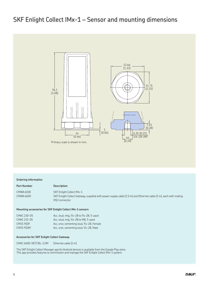## SKF Enlight Collect IMx-1 – Sensor and mounting dimensions



#### **Ordering information**

| Part Number | <b>Description</b>                                                                                               |
|-------------|------------------------------------------------------------------------------------------------------------------|
| CMWA 6100   | SKF Enlight Collect IMx-1                                                                                        |
| CMWA 6600   | SKF Enlight Collect Gateway, supplied with power supply cable (1.5 m) and Ethernet cable (1 m), each with mating |

### **Mounting accessories for SKF Enlight Collect IMx-1 sensors**

| CMAC 230-05      | Acc, stud, mtg, 1/4-28 to 1/4-28, 5-pack  |
|------------------|-------------------------------------------|
| CMAC 231-05      | Acc, stud, mtg, 1/4-28 to M8, 5-pack      |
| <b>CMSS 910F</b> | Acc, snsr, cementing stud, 1/4-28, Female |
| <b>CMSS 910M</b> | Acc, snsr, cementing stud, 1/4-28, Male   |

M12 connector.

### **Accessories for SKF Enlight Collect Gateway**

CMAC 6600-NETCBL-1.0M Ethernet cable (1 m)

The SKF Enlight Collect Manager app for Android devices is available from the Google Play store. This app provides features to commission and manage the SKF Enlight Collect IMx-1 system.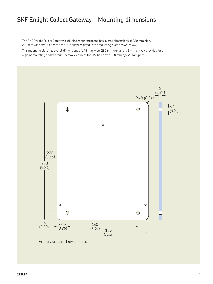## SKF Enlight Collect Gateway – Mounting dimensions

The SKF Enlight Collect Gateway, excluding mounting plate, has overall dimensions of 220 mm high, 220 mm wide and 50.5 mm deep. It is supplied fitted to the mounting plate shown below.

This mounting plate has overall dimensions of 195 mm wide, 250 mm high and is 6 mm thick. It provides for a 4-point mounting and has four 6.5 mm, clearance for M6, holes on a 150 mm by 220 mm pitch.



Primary scale is shown in mm.